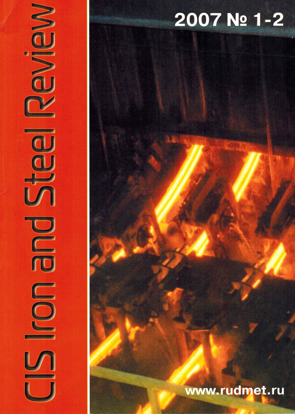# 2007 No 1-2

NOWS

**COD** 

M

## www.rudmet.ru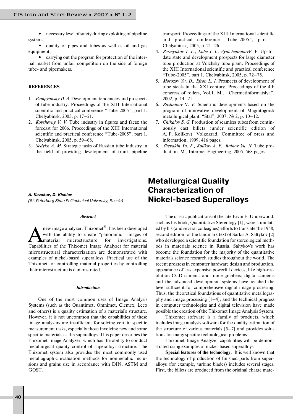**•** necessary level of safety during exploiting of pipeline systems;

**•** quality of pipes and tubes as well as oil and gas equipment;

**•** carrying out the program for protection of the inter nal market from unfair competition on the side of foreign tube- and pipemakers.

#### **REFERENCES**

- 1. *Pumpyansky D. A.* Development tendencies and prospects of tube industry. Proceedings of the XIII International scientific and practical conference "Tube-2005", part 1. Chelyabinsk, 2005, p. 17–21.
- 2. *Kovshevny V. V.* Tube industry in figures and facts: the forecast for 2006. Proceedings of the XIII International scientific and practical conference "Tube-2005", part 1. Chelyabinsk, 2005, p. 59–68.
- 3. *Sedykh A. M.* Strategic tasks of Russian tube industry in the field of providing development of trunk pipeline

(St. Peterburg State Politechnical University, Russia)

#### *Abstract*

new image analyzer, Thixomet<sup>®</sup>, has been developed<br>with the ability to create "panoramic" images of<br>material microstructure for investigations. with the ability to create "panoramic" images of microstructure Capabilities of the Thixomet Image Analyzer for material microstructural characterization are demonstrated with examples of nickel-based superalloys. Practical use of the Thixomet for controlling material properties by controlling their microstructure is demonstrated.

#### *Introduction*

One of the most common uses of Image Analysis Systems (such as the Quantimet, Omnimet, Clemex, Leco and others) is a quality estimation of a material's structure. However, it is not uncommon that the capabilities of these image analyzers are insufficient for solving certain specific measurement tasks, especially those involving new and some specific materials as the superalloys. This paper describes the Thixomet Image Analyzer, which has the ability to conduct metallurgical quality control of superalloys structure. The Thixomet system also provides the most commonly used metallographic evaluation methods for nonmetallic inclu sions and grains size in accordance with DIN, ASTM and GOST.

transport. Proceedings of the XIII International scientific and practical conference "Tube-2005", part 1. Chelyabinsk, 2005, p. 21–26.

- 4. Permyakov I. L., Lube I. I., VyatchennikovV. V. Up-todate state and development prospects for large diameter tube production at Volzhsky tube plant. Proceedings of the XIII International scientific and practical conference "Tube-2005", part 1. Chelyabinsk, 2005, p.  $72-75$ .
- 5. *Morozov Yu. D., Efron L. I.* Prospects of development of tube steels in the XXI century. Proceedings of the 4th congress of rollers, Vol.1. M., "Chermetinformatsiya", 2002, p. 14–21.
- 6. *Rashnikov* V*. F.* Scientific developments based on the program of innovative development of Magnitogorsk metallurgical plant. "Stal", 2007, № 2, p. 10–12.
- 7. *Chikalov S. G.* Produstion of seamless tubes from contin uously cast billets )under scientific edition of A. P. Kolikov). Volgograd, Committee of press and information, 1999, 416 pages.
- 8. *Shevakin Yu. F., Kolikov A. P., Raikov Yu. N.* Tube pro duction. M., Intermet Engineering, 2005, 568 pages.

### **Metallurgical Quality Characterization of A. Kazakov, D. Kiselev<br>(St. Peterburg State Politechnical University, Russia) <b>Mickel-based Superalloys**

The classic publications of the late Ervin E. Underwood, such as his book, Quantitative Stereology [1], were stimulat ed by his (and several colleagues) efforts to translate the 1958, second edition, of the landmark text of Sarkis A. Saltykov [2] who developed a scientific foundation for stereological meth ods in materials science in Russia. Saltykov's work has become the foundation for the majority of the quantitative materials science research studies throughout the world. The recent progress in computer hardware design and production, appearance of less expensive powerful devices, like high-resolution CCD cameras and frame grabbers, digital cameras and the advanced development systems have reached the level sufficient for comprehensive digital image processing. Thus, the theoretical foundations of quantitative metallogra phy and image processing [1–4], and the technical progress in computer technologies and digital television have made possible the creation of the Thixomet Image Analysis System.

Thixomet software is a family of products, which includes image analysis software for the quality estimation of the structure of various materials [5–7] and provides solu tions for many specific technological problems.

Thixomet Image Analyzer capabilities will be demon strated using examples of nickel-based superalloys.

**Special features of the technology.** It is well known that the technology of production of finished parts from super alloys (for example, turbine blades) includes several stages. First, the billets are produced from the original charge mate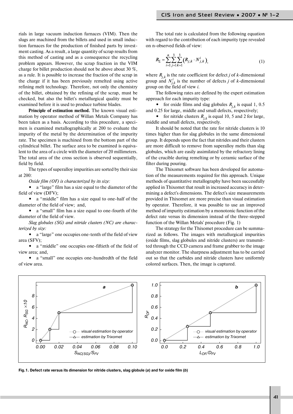rials in large vacuum induction furnaces (VIM). Then the slugs are machined from the billets and used in small induc tion furnaces for the production of finished parts by invest ment casting. As a result, a large quantity of scrap results from this method of casting and as a consequence the recycling problem appears. However, the scrap fraction in the VIM charge for billet production should not be above about 30 %, as a rule. It is possible to increase the fraction of the scrap in the charge if it has been previously remelted using active refining melt technology. Therefore, not only the chemistry of the billet, obtained by the refining of the scrap, must be checked, but also the billet's metallurgical quality must be examined before it is used to produce turbine blades.

**Principle of estimation method.** The known visual esti mation by operator method of Willan Metals Company has been taken as a basis. According to this procedure, a speci men is examined metallographically at 200 to evaluate the impurity of the metal by the determination of the impurity rate. The specimen is machined from the bottom part of the cylindrical billet. The surface area to be examined is equiva lent to the area of a circle with the diameter of 20 millimeters. The total area of the cross section is observed sequentially, field by field.

The types of superalloy impurities are sorted by their size at 200:

*Oxide film (OF) is characterized by its size:* 

**•** a "large" film has a size equal to the diameter of the field of view (DFV);

a "middle" film has a size equal to one-half of the diameter of the field of view; and,

• a "small" film has a size equal to one-fourth of the diameter of the field of view.

*Slag globules (SG) and nitride clusters (NC) are charac terized by size:*

• a "large" one occupies one-tenth of the field of view area (SFV);

• a "middle" one occupies one-fiftieth of the field of view area; and,

• a "small" one occupies one-hundredth of the field of view area.

The total rate is calculated from the following equation with regard to the contribution of each impurity type revealed on n-observed fields of view:

$$
R_{\Sigma} = \sum_{i=1}^{n} \sum_{j=1}^{3} \sum_{k=1}^{3} (R_{j,k} \cdot N_{j,k}^{i}),
$$
 (1)

where  $R_{i,k}$  is the rate coefficient for defect *j* of *k*-dimensional group and  $N_{j,k}^i$  is the number of defects *j* of *k*-dimensional group on the field of view *i*.

The following rates are defined by the expert estimation approach for each impurity type:

• for oxide films and slag globules  $R_{i,k}$  is equal 1, 0.5 and 0.25 for large, middle and small defects, respectively;

• for nitride clusters  $R_{i,k}$  is equal 10, 5 and 2 for large, middle and small defects, respectively.

It should be noted that the rate for nitride clusters is 10 times higher than for slag globules in the same dimensional group. It depends upon the fact that nitrides and their clusters are more difficult to remove from superalloy melts than slag globules, which are easily assimilated by the refractory lining of the crucible during remelting or by ceramic surface of the filter during pouring.

The Thixomet software has been developed for automa tion of the measurements required for this approach. Unique methods of quantitative metallography have been successfully applied in Thixomet that result in increased accuracy in deter mining a defect's dimensions. The defect's size measurements provided in Thixomet are more precise than visual estimation by operator. Therefore, it was possible to use an improved method of impurity estimation by a monotonic function of the defect rate versus its dimension instead of the three-stepped function of the Willan Metals' procedure (Fig. 1)

The strategy for the Thixomet procedure can be summa rized as follows. The images with metallurgical impurities (oxide films, slag globules and nitride clusters) are transmit ted through the CCD camera and frame grabber to the image analyzer monitor. The sharpness adjustment has to be carried out so that the carbides and nitride clusters have uniformly colored surfaces. Then, the image is captured.



**Fig.1. Defect rate versus its dimension for nitride clusters, slag globule (***a***) and for oxide film (***b***)**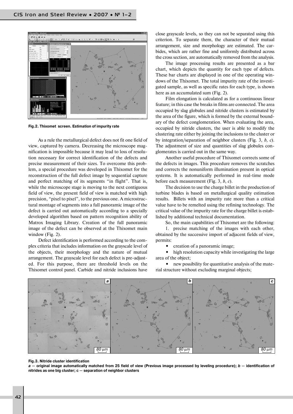

**Fig.2. Thixomet screen. Estimation of impurity rate**

As a rule the metallurgical defect does not fit one field of view, captured by camera. Decreasing the microscope mag nification is impossible because it may lead to loss of resolu tion necessary for correct identification of the defects and precise measurement of their sizes. To overcome this prob lem, a special procedure was developed in Thixomet for the reconstruction of the full defect image by sequential capture and perfect matching of its segments "in flight". That is, while the microscope stage is moving to the next contiguous field of view, the present field of view is matched with high precision, "pixel to pixel", to the previous one. A microstruc tural montage of segments into a full panoramic image of the defect is carried out automatically according to a specially developed algorithm based on pattern recognition ability of Matrox Imaging Library. Creation of the full panoramic image of the defect can be observed at the Thixomet main window (Fig. 2).

Defect identification is performed according to the com plex criteria that includes information on the grayscale level of the objects, their morphology and the nature of mutual arrangement. The grayscale level for each defect is pre-adjusted. For this purpose, there are threshold levels on the Thixomet control panel. Carbide and nitride inclusions have

close grayscale levels, so they can not be separated using this criterion. To separate them, the character of their mutual arrangement, size and morphology are estimated. The car bides, which are rather fine and uniformly distributed across the cross section, are automatically removed from the analysis.

The image processing results are presented as a bar chart, which depicts the quantity for each type of defects. These bar charts are displayed in one of the operating win dows of the Thixomet. The total impurity rate of the investi gated sample, as well as specific rates for each type, is shown here as an accumulated sum (Fig. 2).

Film elongation is calculated as for a continuous linear feature; in this case the breaks in films are connected. The area occupied by slag globules and nitride clusters is estimated by the area of the figure, which is formed by the external bound ary of the defect conglomeration. When evaluating the area, occupied by nitride clusters, the user is able to modify the clustering rate either by joining the inclusions to the cluster or by integration/separation of neighbor clusters (Fig. 3, *b*, *c*). The adjustment of size and quantities of slag globules con glomerates is carried out in the same way.

Another useful procedure of Thixomet corrects some of the defects in images. This procedure removes the scratches and corrects the nonuniform illumination present in optical systems. It is automatically performed in real-time mode before each measurement (Fig. 3, *b*, *c*).

The decision to use the charge billet in the production of turbine blades is based on metallurgical quality estimation results. Billets with an impurity rate more than a critical value have to be remelted using the refining technology. The critical value of the impurity rate for the charge billet is estab lished by additional technical documentation.

So, the main capabilities of Thixomet are the following:

1. precise matching of the images with each other, obtained by the successive import of adjacent fields of view, permits:

**•** creation of a panoramic image;

**•** high resolution capacity while investigating the large area of the object;

• new possibility for quantitative analysis of the material structure without excluding marginal objects;



#### **Fig.3. Nitride cluster identification**

*a* **— original image automatically matched from 25 field of view (Previous image processed by leveling procedure);** *b* **— identification of nitrides as one big cluster; c — separation of neighbor clusters**